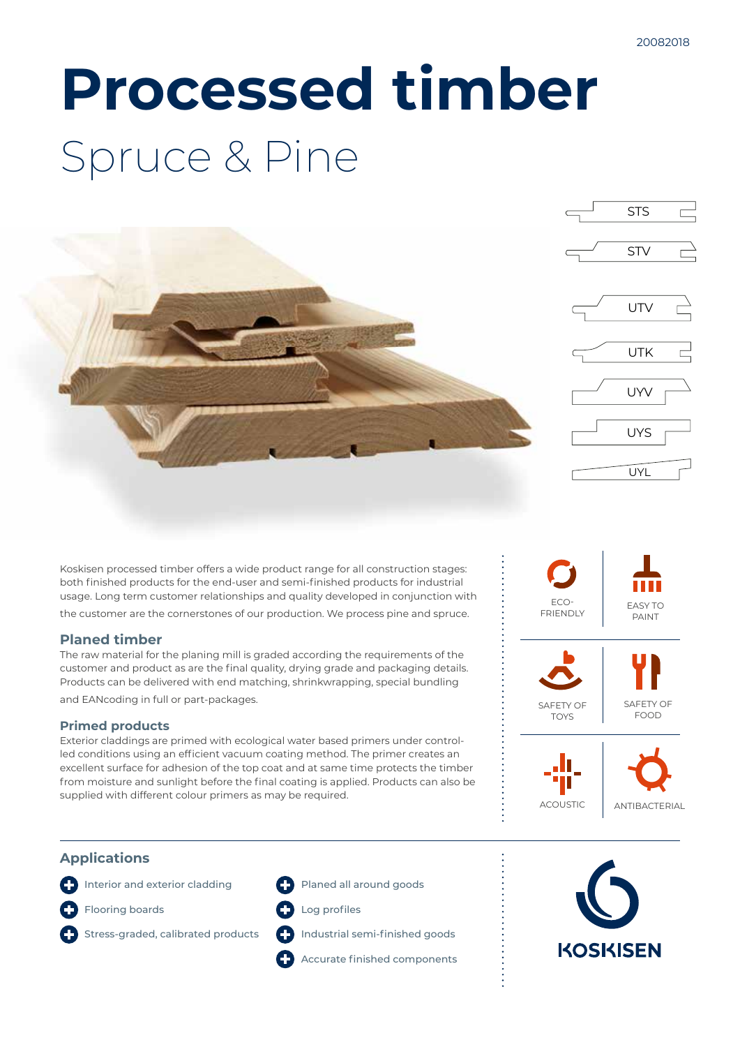# **Processed timber** Spruce & Pine



Koskisen processed timber offers a wide product range for all construction stages: both finished products for the end-user and semi-finished products for industrial usage. Long term customer relationships and quality developed in conjunction with the customer are the cornerstones of our production. We process pine and spruce.

## **Planed timber**

The raw material for the planing mill is graded according the requirements of the customer and product as are the final quality, drying grade and packaging details. Products can be delivered with end matching, shrinkwrapping, special bundling and EANcoding in full or part-packages.

#### **Primed products**

Exterior claddings are primed with ecological water based primers under controlled conditions using an efficient vacuum coating method. The primer creates an excellent surface for adhesion of the top coat and at same time protects the timber from moisture and sunlight before the final coating is applied. Products can also be supplied with different colour primers as may be required.



## **Applications**

**1** Interior and exterior cladding

**C** Flooring boards

- **C**Stress-graded, calibrated products
- **C** Log profiles

**Planed all around goods** 

Industrial semi-finished goods

Accurate finished components